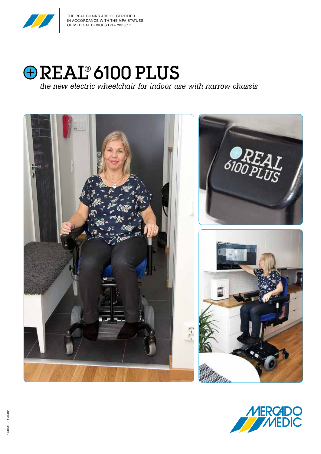

THE REAL-CHAIRS ARE CE-CERTIFIED IN ACCORDANCE WITH THE MPA STATUES OF MEDICAL DEVICES LVFs 2003:11.



*the new electric wheelchair for indoor use with narrow chassis*



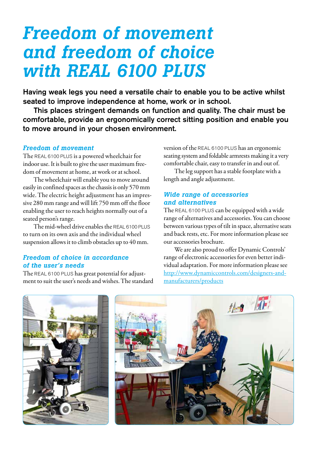# *Freedom of movement and freedom of choice with REAL 6100 PLUS*

Having weak legs you need a versatile chair to enable you to be active whilst seated to improve independence at home, work or in school.

This places stringent demands on function and quality. The chair must be comfortable, provide an ergonomically correct sitting position and enable you to move around in your chosen environment.

### *Freedom of movement*

The REAL 6100 PLUS is a powered wheelchair for indoor use. It is built to give the user maximum freedom of movement at home, at work or at school.

The wheelchair will enable you to move around easily in confined spaces as the chassis is only 570 mm wide. The electric height adjustment has an impressive 280 mm range and will lift 750 mm off the floor enabling the user to reach heights normally out of a seated person's range.

The mid-wheel drive enables the REAL 6100 PLUS to turn on its own axis and the individual wheel suspension allows it to climb obstacles up to 40 mm.

### *Freedom of choice in accordance of the user's needs*

The REAL 6100 PLUS has great potential for adjustment to suit the user's needs and wishes. The standard version of the REAL 6100 PLUS has an ergonomic seating system and foldable armrests making it a very comfortable chair, easy to transfer in and out of.

The leg support has a stable footplate with a length and angle adjustment.

### *Wide range of accessories and alternatives*

The REAL 6100 PLUS can be equipped with a wide range of alternatives and accessories. You can choose between various types of tilt in space, alternative seats and back rests, etc. For more information please see our accessories brochure.

We are also proud to offer Dynamic Controls' range of electronic accessories for even better individual adaptation. For more information please see http://www.dynamiccontrols.com/designers-andmanufacturers/products

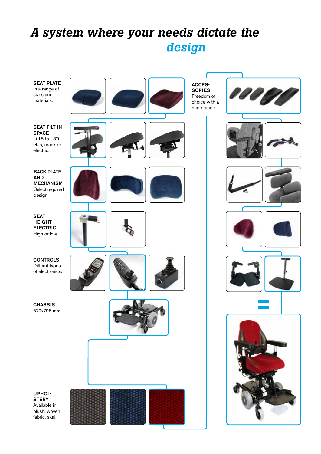## *A system where your needs dictate the design*